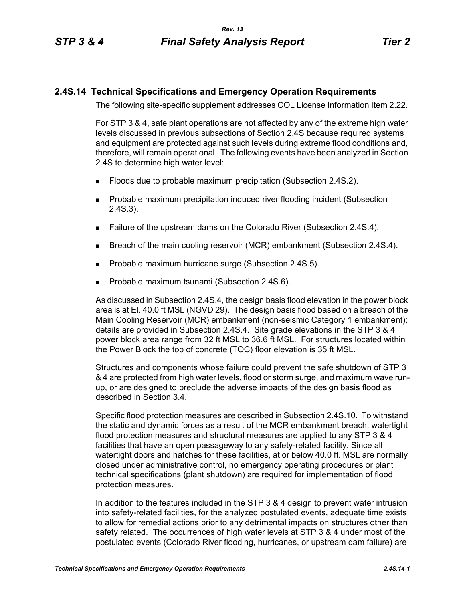## **2.4S.14 Technical Specifications and Emergency Operation Requirements**

The following site-specific supplement addresses COL License Information Item 2.22.

For STP 3 & 4, safe plant operations are not affected by any of the extreme high water levels discussed in previous subsections of Section 2.4S because required systems and equipment are protected against such levels during extreme flood conditions and, therefore, will remain operational. The following events have been analyzed in Section 2.4S to determine high water level:

- **Floods due to probable maximum precipitation (Subsection 2.4S.2).**
- **Probable maximum precipitation induced river flooding incident (Subsection** 2.4S.3).
- Failure of the upstream dams on the Colorado River (Subsection 2.4S.4).
- **Breach of the main cooling reservoir (MCR) embankment (Subsection 2.4S.4).**
- **Probable maximum hurricane surge (Subsection 2.4S.5).**
- Probable maximum tsunami (Subsection 2.4S.6).

As discussed in Subsection 2.4S.4, the design basis flood elevation in the power block area is at El. 40.0 ft MSL (NGVD 29). The design basis flood based on a breach of the Main Cooling Reservoir (MCR) embankment (non-seismic Category 1 embankment); details are provided in Subsection 2.4S.4. Site grade elevations in the STP 3 & 4 power block area range from 32 ft MSL to 36.6 ft MSL. For structures located within the Power Block the top of concrete (TOC) floor elevation is 35 ft MSL.

Structures and components whose failure could prevent the safe shutdown of STP 3 & 4 are protected from high water levels, flood or storm surge, and maximum wave runup, or are designed to preclude the adverse impacts of the design basis flood as described in Section 3.4.

Specific flood protection measures are described in Subsection 2.4S.10. To withstand the static and dynamic forces as a result of the MCR embankment breach, watertight flood protection measures and structural measures are applied to any STP 3 & 4 facilities that have an open passageway to any safety-related facility. Since all watertight doors and hatches for these facilities, at or below 40.0 ft. MSL are normally closed under administrative control, no emergency operating procedures or plant technical specifications (plant shutdown) are required for implementation of flood protection measures.

In addition to the features included in the STP 3 & 4 design to prevent water intrusion into safety-related facilities, for the analyzed postulated events, adequate time exists to allow for remedial actions prior to any detrimental impacts on structures other than safety related. The occurrences of high water levels at STP 3 & 4 under most of the postulated events (Colorado River flooding, hurricanes, or upstream dam failure) are